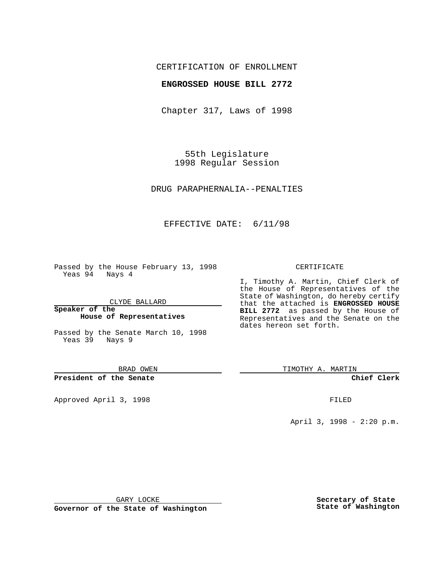## CERTIFICATION OF ENROLLMENT

### **ENGROSSED HOUSE BILL 2772**

Chapter 317, Laws of 1998

55th Legislature 1998 Regular Session

DRUG PARAPHERNALIA--PENALTIES

# EFFECTIVE DATE: 6/11/98

Passed by the House February 13, 1998 Yeas 94 Nays 4

CLYDE BALLARD

**Speaker of the House of Representatives**

Passed by the Senate March 10, 1998 Yeas 39 Nays 9

BRAD OWEN

**President of the Senate**

Approved April 3, 1998 FILED

#### CERTIFICATE

I, Timothy A. Martin, Chief Clerk of the House of Representatives of the State of Washington, do hereby certify that the attached is **ENGROSSED HOUSE BILL 2772** as passed by the House of Representatives and the Senate on the dates hereon set forth.

TIMOTHY A. MARTIN

**Chief Clerk**

April 3, 1998 - 2:20 p.m.

GARY LOCKE

**Governor of the State of Washington**

**Secretary of State State of Washington**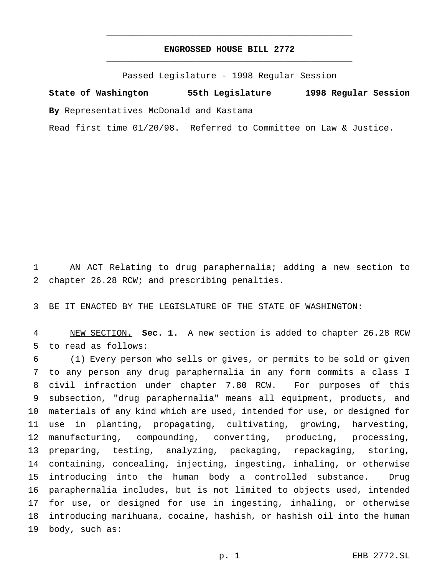# **ENGROSSED HOUSE BILL 2772** \_\_\_\_\_\_\_\_\_\_\_\_\_\_\_\_\_\_\_\_\_\_\_\_\_\_\_\_\_\_\_\_\_\_\_\_\_\_\_\_\_\_\_\_\_\_\_

\_\_\_\_\_\_\_\_\_\_\_\_\_\_\_\_\_\_\_\_\_\_\_\_\_\_\_\_\_\_\_\_\_\_\_\_\_\_\_\_\_\_\_\_\_\_\_

Passed Legislature - 1998 Regular Session

**State of Washington 55th Legislature 1998 Regular Session By** Representatives McDonald and Kastama

Read first time 01/20/98. Referred to Committee on Law & Justice.

 AN ACT Relating to drug paraphernalia; adding a new section to chapter 26.28 RCW; and prescribing penalties.

BE IT ENACTED BY THE LEGISLATURE OF THE STATE OF WASHINGTON:

 NEW SECTION. **Sec. 1.** A new section is added to chapter 26.28 RCW to read as follows:

 (1) Every person who sells or gives, or permits to be sold or given to any person any drug paraphernalia in any form commits a class I civil infraction under chapter 7.80 RCW. For purposes of this subsection, "drug paraphernalia" means all equipment, products, and materials of any kind which are used, intended for use, or designed for use in planting, propagating, cultivating, growing, harvesting, manufacturing, compounding, converting, producing, processing, preparing, testing, analyzing, packaging, repackaging, storing, containing, concealing, injecting, ingesting, inhaling, or otherwise introducing into the human body a controlled substance. Drug paraphernalia includes, but is not limited to objects used, intended for use, or designed for use in ingesting, inhaling, or otherwise introducing marihuana, cocaine, hashish, or hashish oil into the human body, such as: